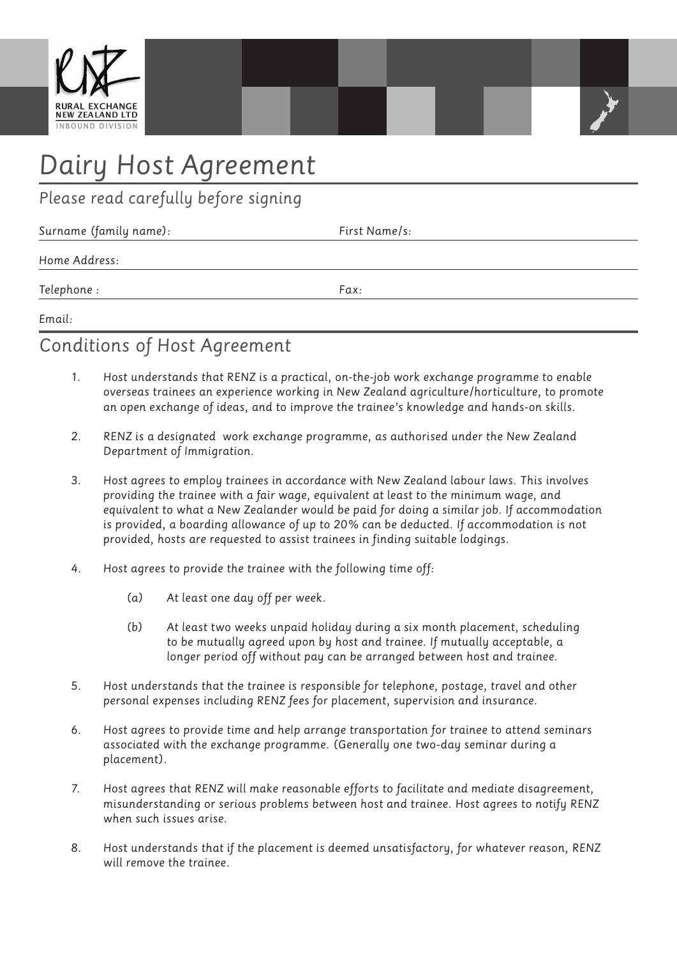

# *Dairy Host Agreement*

*Please read carefully before signing*

| Surname (family name): | First Name/s: |
|------------------------|---------------|
| Home Address:          |               |
| Telephone :            | Fax:          |
|                        |               |

*Email:*

## *Conditions of Host Agreement*

- *1. Host understands that RENZ is a practical, on-the-job work exchange programme to enable overseas trainees an experience working in New Zealand agriculture/horticulture, to promote an open exchange of ideas, and to improve the trainee's knowledge and hands-on skills.*
- *2. RENZ is a designated work exchange programme, as authorised under the New Zealand Department of Immigration.*
- *3. Host agrees to employ trainees in accordance with New Zealand labour laws. This involves providing the trainee with a fair wage, equivalent at least to the minimum wage, and equivalent to what a New Zealander would be paid for doing a similar job. If accommodation is provided, a boarding allowance of up to 20% can be deducted. If accommodation is not provided, hosts are requested to assist trainees in finding suitable lodgings.*
- *4. Host agrees to provide the trainee with the following time off:*
	- *(a) At least one day off per week.*
	- *(b) At least two weeks unpaid holiday during a six month placement, scheduling to be mutually agreed upon by host and trainee. If mutually acceptable, a longer period off without pay can be arranged between host and trainee.*
- *5. Host understands that the trainee is responsible for telephone, postage, travel and other personal expenses including RENZ fees for placement, supervision and insurance.*
- *6. Host agrees to provide time and help arrange transportation for trainee to attend seminars associated with the exchange programme. (Generally one two-day seminar during a placement).*
- *7. Host agrees that RENZ will make reasonable efforts to facilitate and mediate disagreement, misunderstanding or serious problems between host and trainee. Host agrees to notify RENZ when such issues arise.*
- *8. Host understands that if the placement is deemed unsatisfactory, for whatever reason, RENZ will remove the trainee.*